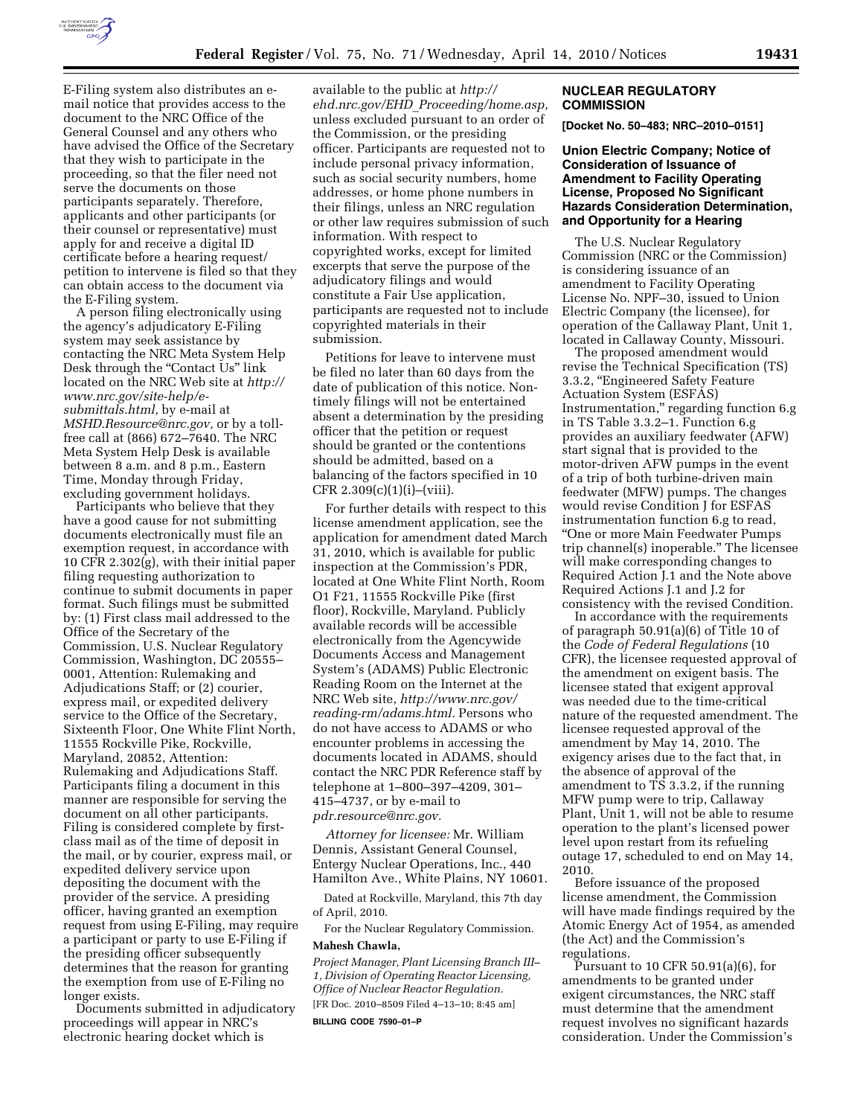

E-Filing system also distributes an email notice that provides access to the document to the NRC Office of the General Counsel and any others who have advised the Office of the Secretary that they wish to participate in the proceeding, so that the filer need not serve the documents on those participants separately. Therefore, applicants and other participants (or their counsel or representative) must apply for and receive a digital ID certificate before a hearing request/ petition to intervene is filed so that they can obtain access to the document via the E-Filing system.

A person filing electronically using the agency's adjudicatory E-Filing system may seek assistance by contacting the NRC Meta System Help Desk through the "Contact Us" link located on the NRC Web site at *http:// www.nrc.gov/site-help/esubmittals.html,* by e-mail at *MSHD.Resource@nrc.gov,* or by a tollfree call at (866) 672–7640. The NRC Meta System Help Desk is available between 8 a.m. and 8 p.m., Eastern Time, Monday through Friday, excluding government holidays.

Participants who believe that they have a good cause for not submitting documents electronically must file an exemption request, in accordance with 10 CFR 2.302(g), with their initial paper filing requesting authorization to continue to submit documents in paper format. Such filings must be submitted by: (1) First class mail addressed to the Office of the Secretary of the Commission, U.S. Nuclear Regulatory Commission, Washington, DC 20555– 0001, Attention: Rulemaking and Adjudications Staff; or (2) courier, express mail, or expedited delivery service to the Office of the Secretary, Sixteenth Floor, One White Flint North, 11555 Rockville Pike, Rockville, Maryland, 20852, Attention: Rulemaking and Adjudications Staff. Participants filing a document in this manner are responsible for serving the document on all other participants. Filing is considered complete by firstclass mail as of the time of deposit in the mail, or by courier, express mail, or expedited delivery service upon depositing the document with the provider of the service. A presiding officer, having granted an exemption request from using E-Filing, may require a participant or party to use E-Filing if the presiding officer subsequently determines that the reason for granting the exemption from use of E-Filing no longer exists.

Documents submitted in adjudicatory proceedings will appear in NRC's electronic hearing docket which is

available to the public at *http:// ehd.nrc.gov/EHD*\_*Proceeding/home.asp,*  unless excluded pursuant to an order of the Commission, or the presiding officer. Participants are requested not to include personal privacy information, such as social security numbers, home addresses, or home phone numbers in their filings, unless an NRC regulation or other law requires submission of such information. With respect to copyrighted works, except for limited excerpts that serve the purpose of the adjudicatory filings and would constitute a Fair Use application, participants are requested not to include copyrighted materials in their submission.

Petitions for leave to intervene must be filed no later than 60 days from the date of publication of this notice. Nontimely filings will not be entertained absent a determination by the presiding officer that the petition or request should be granted or the contentions should be admitted, based on a balancing of the factors specified in 10 CFR  $2.309(c)(1)(i)$ –(viii).

For further details with respect to this license amendment application, see the application for amendment dated March 31, 2010, which is available for public inspection at the Commission's PDR, located at One White Flint North, Room O1 F21, 11555 Rockville Pike (first floor), Rockville, Maryland. Publicly available records will be accessible electronically from the Agencywide Documents Access and Management System's (ADAMS) Public Electronic Reading Room on the Internet at the NRC Web site, *http://www.nrc.gov/ reading-rm/adams.html.* Persons who do not have access to ADAMS or who encounter problems in accessing the documents located in ADAMS, should contact the NRC PDR Reference staff by telephone at 1–800–397–4209, 301– 415–4737, or by e-mail to *pdr.resource@nrc.gov.* 

*Attorney for licensee:* Mr. William Dennis, Assistant General Counsel, Entergy Nuclear Operations, Inc., 440 Hamilton Ave., White Plains, NY 10601.

Dated at Rockville, Maryland, this 7th day of April, 2010.

For the Nuclear Regulatory Commission. **Mahesh Chawla,** 

*Project Manager, Plant Licensing Branch III– 1, Division of Operating Reactor Licensing, Office of Nuclear Reactor Regulation.* 

[FR Doc. 2010–8509 Filed 4–13–10; 8:45 am]

**BILLING CODE 7590–01–P** 

### **NUCLEAR REGULATORY COMMISSION**

**[Docket No. 50–483; NRC–2010–0151]** 

## **Union Electric Company; Notice of Consideration of Issuance of Amendment to Facility Operating License, Proposed No Significant Hazards Consideration Determination, and Opportunity for a Hearing**

The U.S. Nuclear Regulatory Commission (NRC or the Commission) is considering issuance of an amendment to Facility Operating License No. NPF–30, issued to Union Electric Company (the licensee), for operation of the Callaway Plant, Unit 1, located in Callaway County, Missouri.

The proposed amendment would revise the Technical Specification (TS) 3.3.2, ''Engineered Safety Feature Actuation System (ESFAS) Instrumentation,'' regarding function 6.g in TS Table 3.3.2–1. Function 6.g provides an auxiliary feedwater (AFW) start signal that is provided to the motor-driven AFW pumps in the event of a trip of both turbine-driven main feedwater (MFW) pumps. The changes would revise Condition J for ESFAS instrumentation function 6.g to read, ''One or more Main Feedwater Pumps trip channel(s) inoperable.'' The licensee will make corresponding changes to Required Action J.1 and the Note above Required Actions J.1 and J.2 for consistency with the revised Condition.

In accordance with the requirements of paragraph 50.91(a)(6) of Title 10 of the *Code of Federal Regulations* (10 CFR), the licensee requested approval of the amendment on exigent basis. The licensee stated that exigent approval was needed due to the time-critical nature of the requested amendment. The licensee requested approval of the amendment by May 14, 2010. The exigency arises due to the fact that, in the absence of approval of the amendment to TS 3.3.2, if the running MFW pump were to trip, Callaway Plant, Unit 1, will not be able to resume operation to the plant's licensed power level upon restart from its refueling outage 17, scheduled to end on May 14, 2010.

Before issuance of the proposed license amendment, the Commission will have made findings required by the Atomic Energy Act of 1954, as amended (the Act) and the Commission's regulations.

Pursuant to 10 CFR  $50.91(a)(6)$ , for amendments to be granted under exigent circumstances, the NRC staff must determine that the amendment request involves no significant hazards consideration. Under the Commission's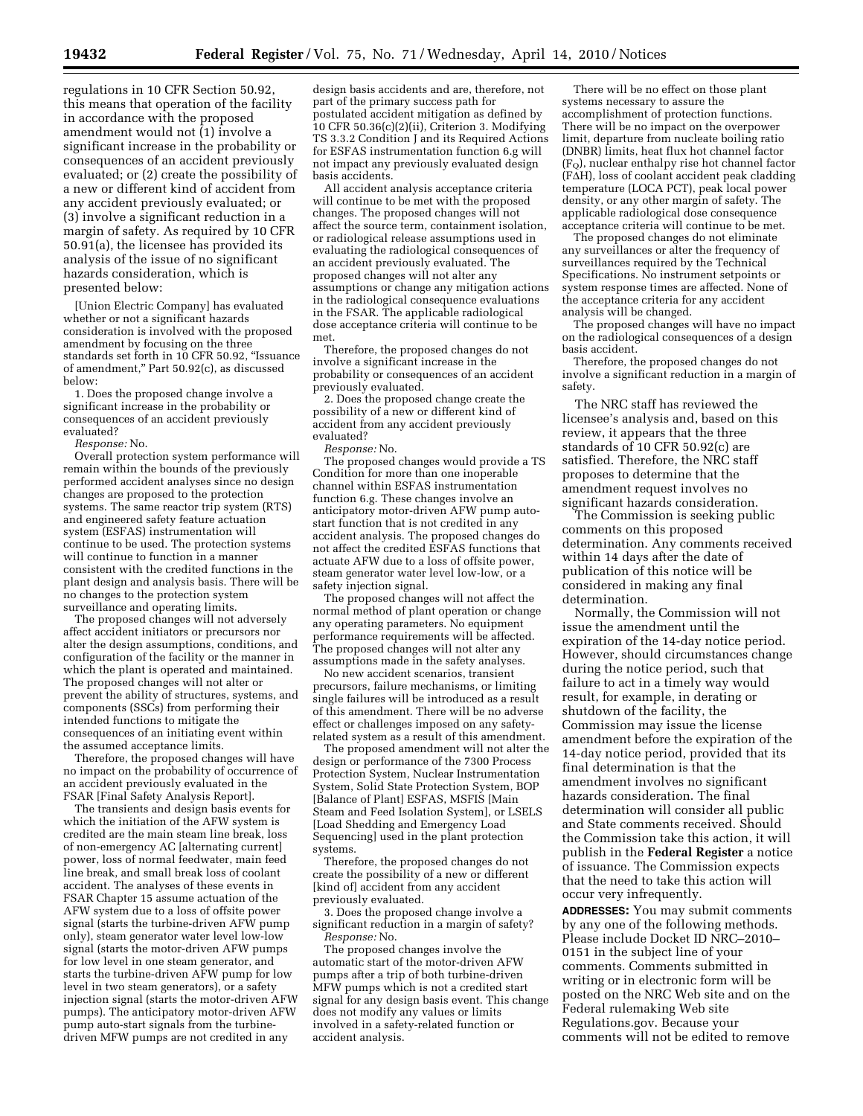regulations in 10 CFR Section 50.92, this means that operation of the facility in accordance with the proposed amendment would not (1) involve a significant increase in the probability or consequences of an accident previously evaluated; or (2) create the possibility of a new or different kind of accident from any accident previously evaluated; or (3) involve a significant reduction in a margin of safety. As required by 10 CFR 50.91(a), the licensee has provided its analysis of the issue of no significant hazards consideration, which is presented below:

[Union Electric Company] has evaluated whether or not a significant hazards consideration is involved with the proposed amendment by focusing on the three standards set forth in 10 CFR 50.92, ''Issuance of amendment,'' Part 50.92(c), as discussed below:

1. Does the proposed change involve a significant increase in the probability or consequences of an accident previously evaluated?

*Response:* No.

Overall protection system performance will remain within the bounds of the previously performed accident analyses since no design changes are proposed to the protection systems. The same reactor trip system (RTS) and engineered safety feature actuation system (ESFAS) instrumentation will continue to be used. The protection systems will continue to function in a manner consistent with the credited functions in the plant design and analysis basis. There will be no changes to the protection system surveillance and operating limits.

The proposed changes will not adversely affect accident initiators or precursors nor alter the design assumptions, conditions, and configuration of the facility or the manner in which the plant is operated and maintained. The proposed changes will not alter or prevent the ability of structures, systems, and components (SSCs) from performing their intended functions to mitigate the consequences of an initiating event within the assumed acceptance limits.

Therefore, the proposed changes will have no impact on the probability of occurrence of an accident previously evaluated in the FSAR [Final Safety Analysis Report].

The transients and design basis events for which the initiation of the AFW system is credited are the main steam line break, loss of non-emergency AC [alternating current] power, loss of normal feedwater, main feed line break, and small break loss of coolant accident. The analyses of these events in FSAR Chapter 15 assume actuation of the AFW system due to a loss of offsite power signal (starts the turbine-driven AFW pump only), steam generator water level low-low signal (starts the motor-driven AFW pumps for low level in one steam generator, and starts the turbine-driven AFW pump for low level in two steam generators), or a safety injection signal (starts the motor-driven AFW pumps). The anticipatory motor-driven AFW pump auto-start signals from the turbinedriven MFW pumps are not credited in any

design basis accidents and are, therefore, not part of the primary success path for postulated accident mitigation as defined by 10 CFR 50.36(c)(2)(ii), Criterion 3. Modifying TS 3.3.2 Condition J and its Required Actions for ESFAS instrumentation function 6.g will not impact any previously evaluated design basis accidents.

All accident analysis acceptance criteria will continue to be met with the proposed changes. The proposed changes will not affect the source term, containment isolation, or radiological release assumptions used in evaluating the radiological consequences of an accident previously evaluated. The proposed changes will not alter any assumptions or change any mitigation actions in the radiological consequence evaluations in the FSAR. The applicable radiological dose acceptance criteria will continue to be met.

Therefore, the proposed changes do not involve a significant increase in the probability or consequences of an accident previously evaluated.

2. Does the proposed change create the possibility of a new or different kind of accident from any accident previously evaluated?

*Response:* No.

The proposed changes would provide a TS Condition for more than one inoperable channel within ESFAS instrumentation function 6.g. These changes involve an anticipatory motor-driven AFW pump autostart function that is not credited in any accident analysis. The proposed changes do not affect the credited ESFAS functions that actuate AFW due to a loss of offsite power, steam generator water level low-low, or a safety injection signal.

The proposed changes will not affect the normal method of plant operation or change any operating parameters. No equipment performance requirements will be affected. The proposed changes will not alter any assumptions made in the safety analyses.

No new accident scenarios, transient precursors, failure mechanisms, or limiting single failures will be introduced as a result of this amendment. There will be no adverse effect or challenges imposed on any safetyrelated system as a result of this amendment.

The proposed amendment will not alter the design or performance of the 7300 Process Protection System, Nuclear Instrumentation System, Solid State Protection System, BOP [Balance of Plant] ESFAS, MSFIS [Main Steam and Feed Isolation System], or LSELS [Load Shedding and Emergency Load Sequencing] used in the plant protection systems.

Therefore, the proposed changes do not create the possibility of a new or different [kind of] accident from any accident previously evaluated.

3. Does the proposed change involve a significant reduction in a margin of safety? *Response:* No.

The proposed changes involve the automatic start of the motor-driven AFW pumps after a trip of both turbine-driven MFW pumps which is not a credited start signal for any design basis event. This change does not modify any values or limits involved in a safety-related function or accident analysis.

There will be no effect on those plant systems necessary to assure the accomplishment of protection functions. There will be no impact on the overpower limit, departure from nucleate boiling ratio (DNBR) limits, heat flux hot channel factor (FQ), nuclear enthalpy rise hot channel factor  $(F\Delta H)$ , loss of coolant accident peak cladding temperature (LOCA PCT), peak local power density, or any other margin of safety. The applicable radiological dose consequence acceptance criteria will continue to be met.

The proposed changes do not eliminate any surveillances or alter the frequency of surveillances required by the Technical Specifications. No instrument setpoints or system response times are affected. None of the acceptance criteria for any accident analysis will be changed.

The proposed changes will have no impact on the radiological consequences of a design basis accident.

Therefore, the proposed changes do not involve a significant reduction in a margin of safety.

The NRC staff has reviewed the licensee's analysis and, based on this review, it appears that the three standards of 10 CFR 50.92(c) are satisfied. Therefore, the NRC staff proposes to determine that the amendment request involves no significant hazards consideration.

The Commission is seeking public comments on this proposed determination. Any comments received within 14 days after the date of publication of this notice will be considered in making any final determination.

Normally, the Commission will not issue the amendment until the expiration of the 14-day notice period. However, should circumstances change during the notice period, such that failure to act in a timely way would result, for example, in derating or shutdown of the facility, the Commission may issue the license amendment before the expiration of the 14-day notice period, provided that its final determination is that the amendment involves no significant hazards consideration. The final determination will consider all public and State comments received. Should the Commission take this action, it will publish in the **Federal Register** a notice of issuance. The Commission expects that the need to take this action will occur very infrequently.

**ADDRESSES:** You may submit comments by any one of the following methods. Please include Docket ID NRC–2010– 0151 in the subject line of your comments. Comments submitted in writing or in electronic form will be posted on the NRC Web site and on the Federal rulemaking Web site Regulations.gov. Because your comments will not be edited to remove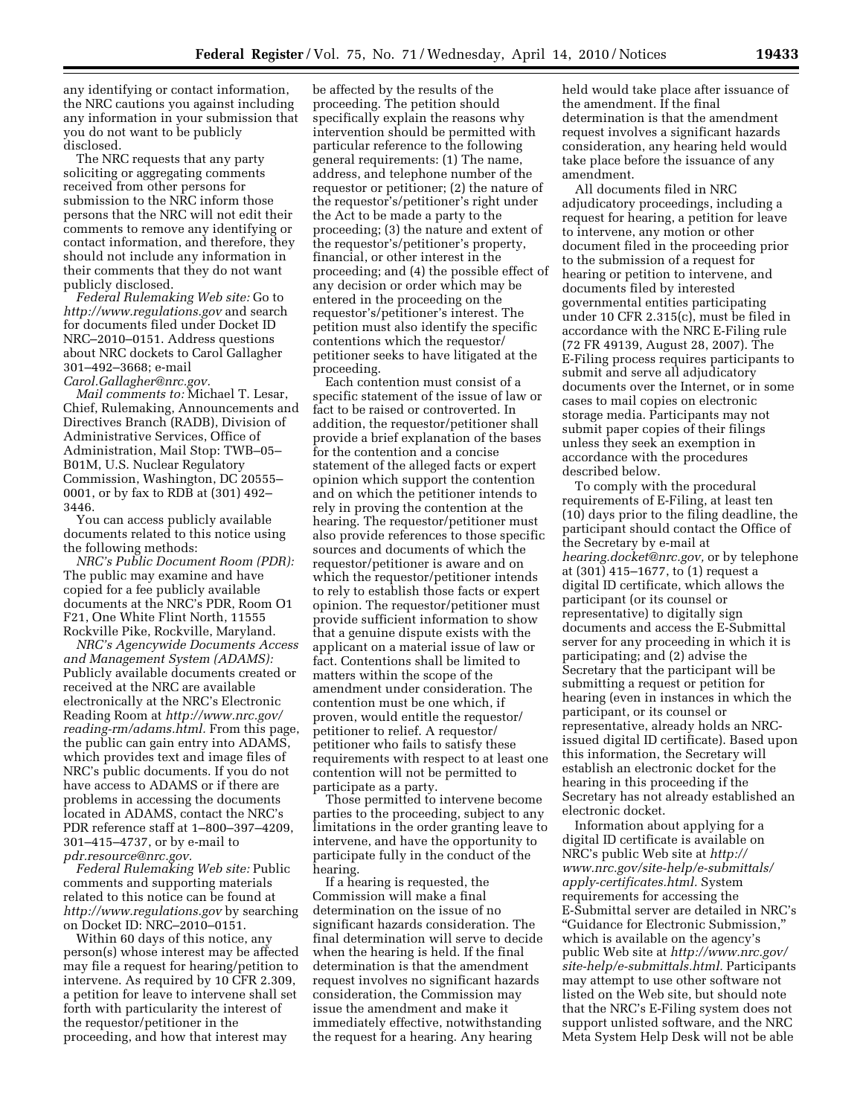any identifying or contact information, the NRC cautions you against including any information in your submission that you do not want to be publicly disclosed.

The NRC requests that any party soliciting or aggregating comments received from other persons for submission to the NRC inform those persons that the NRC will not edit their comments to remove any identifying or contact information, and therefore, they should not include any information in their comments that they do not want publicly disclosed.

*Federal Rulemaking Web site:* Go to *http://www.regulations.gov* and search for documents filed under Docket ID NRC–2010–0151. Address questions about NRC dockets to Carol Gallagher 301–492–3668; e-mail *Carol.Gallagher@nrc.gov.* 

*Mail comments to:* Michael T. Lesar, Chief, Rulemaking, Announcements and Directives Branch (RADB), Division of Administrative Services, Office of Administration, Mail Stop: TWB–05– B01M, U.S. Nuclear Regulatory Commission, Washington, DC 20555– 0001, or by fax to RDB at (301) 492– 3446.

You can access publicly available documents related to this notice using the following methods:

*NRC's Public Document Room (PDR):*  The public may examine and have copied for a fee publicly available documents at the NRC's PDR, Room O1 F21, One White Flint North, 11555 Rockville Pike, Rockville, Maryland.

*NRC's Agencywide Documents Access and Management System (ADAMS):*  Publicly available documents created or received at the NRC are available electronically at the NRC's Electronic Reading Room at *http://www.nrc.gov/ reading-rm/adams.html.* From this page, the public can gain entry into ADAMS, which provides text and image files of NRC's public documents. If you do not have access to ADAMS or if there are problems in accessing the documents located in ADAMS, contact the NRC's PDR reference staff at 1–800–397–4209, 301–415–4737, or by e-mail to *pdr.resource@nrc.gov.* 

*Federal Rulemaking Web site:* Public comments and supporting materials related to this notice can be found at *http://www.regulations.gov* by searching on Docket ID: NRC–2010–0151.

Within 60 days of this notice, any person(s) whose interest may be affected may file a request for hearing/petition to intervene. As required by 10 CFR 2.309, a petition for leave to intervene shall set forth with particularity the interest of the requestor/petitioner in the proceeding, and how that interest may

be affected by the results of the proceeding. The petition should specifically explain the reasons why intervention should be permitted with particular reference to the following general requirements: (1) The name, address, and telephone number of the requestor or petitioner; (2) the nature of the requestor's/petitioner's right under the Act to be made a party to the proceeding; (3) the nature and extent of the requestor's/petitioner's property, financial, or other interest in the proceeding; and (4) the possible effect of any decision or order which may be entered in the proceeding on the requestor's/petitioner's interest. The petition must also identify the specific contentions which the requestor/ petitioner seeks to have litigated at the proceeding.

Each contention must consist of a specific statement of the issue of law or fact to be raised or controverted. In addition, the requestor/petitioner shall provide a brief explanation of the bases for the contention and a concise statement of the alleged facts or expert opinion which support the contention and on which the petitioner intends to rely in proving the contention at the hearing. The requestor/petitioner must also provide references to those specific sources and documents of which the requestor/petitioner is aware and on which the requestor/petitioner intends to rely to establish those facts or expert opinion. The requestor/petitioner must provide sufficient information to show that a genuine dispute exists with the applicant on a material issue of law or fact. Contentions shall be limited to matters within the scope of the amendment under consideration. The contention must be one which, if proven, would entitle the requestor/ petitioner to relief. A requestor/ petitioner who fails to satisfy these requirements with respect to at least one contention will not be permitted to participate as a party.

Those permitted to intervene become parties to the proceeding, subject to any limitations in the order granting leave to intervene, and have the opportunity to participate fully in the conduct of the hearing.

If a hearing is requested, the Commission will make a final determination on the issue of no significant hazards consideration. The final determination will serve to decide when the hearing is held. If the final determination is that the amendment request involves no significant hazards consideration, the Commission may issue the amendment and make it immediately effective, notwithstanding the request for a hearing. Any hearing

held would take place after issuance of the amendment. If the final determination is that the amendment request involves a significant hazards consideration, any hearing held would take place before the issuance of any amendment.

All documents filed in NRC adjudicatory proceedings, including a request for hearing, a petition for leave to intervene, any motion or other document filed in the proceeding prior to the submission of a request for hearing or petition to intervene, and documents filed by interested governmental entities participating under 10 CFR 2.315(c), must be filed in accordance with the NRC E-Filing rule (72 FR 49139, August 28, 2007). The E-Filing process requires participants to submit and serve all adjudicatory documents over the Internet, or in some cases to mail copies on electronic storage media. Participants may not submit paper copies of their filings unless they seek an exemption in accordance with the procedures described below.

To comply with the procedural requirements of E-Filing, at least ten (10) days prior to the filing deadline, the participant should contact the Office of the Secretary by e-mail at *hearing.docket@nrc.gov,* or by telephone at (301) 415–1677, to (1) request a digital ID certificate, which allows the participant (or its counsel or representative) to digitally sign documents and access the E-Submittal server for any proceeding in which it is participating; and (2) advise the Secretary that the participant will be submitting a request or petition for hearing (even in instances in which the participant, or its counsel or representative, already holds an NRCissued digital ID certificate). Based upon this information, the Secretary will establish an electronic docket for the hearing in this proceeding if the Secretary has not already established an electronic docket.

Information about applying for a digital ID certificate is available on NRC's public Web site at *http:// www.nrc.gov/site-help/e-submittals/ apply-certificates.html.* System requirements for accessing the E-Submittal server are detailed in NRC's ''Guidance for Electronic Submission,'' which is available on the agency's public Web site at *http://www.nrc.gov/ site-help/e-submittals.html.* Participants may attempt to use other software not listed on the Web site, but should note that the NRC's E-Filing system does not support unlisted software, and the NRC Meta System Help Desk will not be able